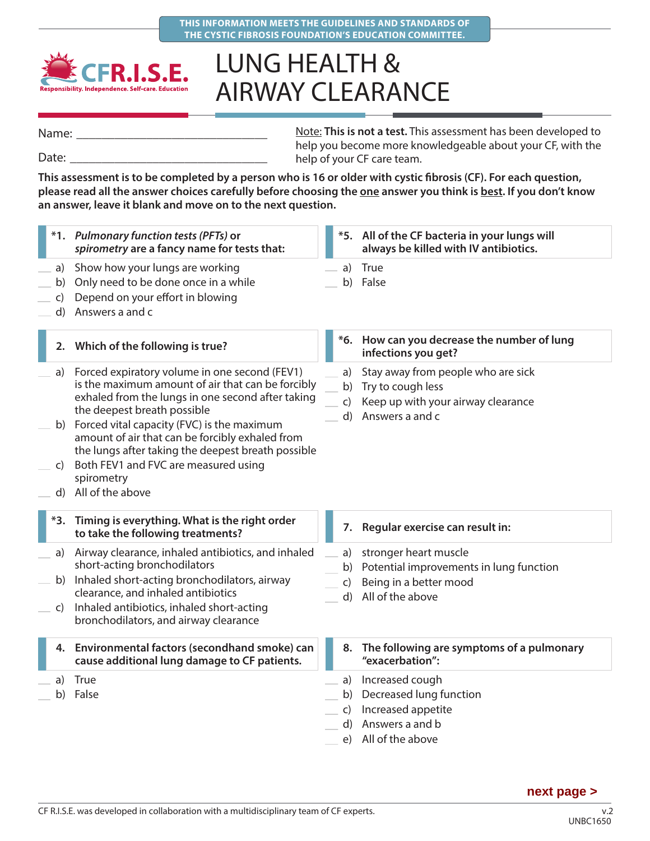



## LUNG HEALTH & AIRWAY CLEARANCE

Name:

Date:

Note: **This is not a test.** This assessment has been developed to help you become more knowledgeable about your CF, with the help of your CF care team.

**This assessment is to be completed by a person who is 16 or older with cystic fibrosis (CF). For each question,**  please read all the answer choices carefully before choosing the one answer you think is best. If you don't know **an answer, leave it blank and move on to the next question.**

|                      | *1. Pulmonary function tests (PFTs) or<br>spirometry are a fancy name for tests that:                                                                                                                                                                                                                                                                                                                  |                                | *5. All of the CF bacteria in your lungs will<br>always be killed with IV antibiotics.                           |
|----------------------|--------------------------------------------------------------------------------------------------------------------------------------------------------------------------------------------------------------------------------------------------------------------------------------------------------------------------------------------------------------------------------------------------------|--------------------------------|------------------------------------------------------------------------------------------------------------------|
| a)<br>b)<br>C)<br>d) | Show how your lungs are working<br>Only need to be done once in a while<br>Depend on your effort in blowing<br>Answers a and c                                                                                                                                                                                                                                                                         | a)<br>b)                       | True<br>False                                                                                                    |
|                      | 2. Which of the following is true?                                                                                                                                                                                                                                                                                                                                                                     |                                | *6. How can you decrease the number of lung<br>infections you get?                                               |
| a)<br>C)             | Forced expiratory volume in one second (FEV1)<br>is the maximum amount of air that can be forcibly<br>exhaled from the lungs in one second after taking<br>the deepest breath possible<br>b) Forced vital capacity (FVC) is the maximum<br>amount of air that can be forcibly exhaled from<br>the lungs after taking the deepest breath possible<br>Both FEV1 and FVC are measured using<br>spirometry | a)<br>b)<br>$\mathsf{C}$<br>d) | Stay away from people who are sick<br>Try to cough less<br>Keep up with your airway clearance<br>Answers a and c |
|                      | d) All of the above                                                                                                                                                                                                                                                                                                                                                                                    |                                |                                                                                                                  |
|                      | *3. Timing is everything. What is the right order<br>to take the following treatments?                                                                                                                                                                                                                                                                                                                 |                                | 7. Regular exercise can result in:                                                                               |
| a)<br>C)             | Airway clearance, inhaled antibiotics, and inhaled<br>short-acting bronchodilators<br>b) Inhaled short-acting bronchodilators, airway<br>clearance, and inhaled antibiotics<br>Inhaled antibiotics, inhaled short-acting<br>bronchodilators, and airway clearance                                                                                                                                      | a)<br>b)<br>$\mathsf{C}$<br>d) | stronger heart muscle<br>Potential improvements in lung function<br>Being in a better mood<br>All of the above   |
|                      | 4. Environmental factors (secondhand smoke) can<br>cause additional lung damage to CF patients.                                                                                                                                                                                                                                                                                                        | 8.                             | The following are symptoms of a pulmonary<br>"exacerbation":                                                     |